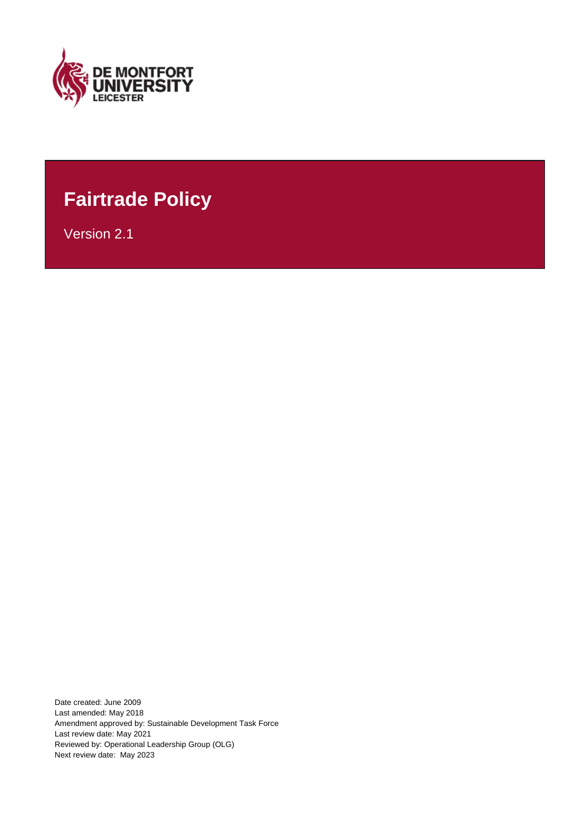

## **Fairtrade Policy**

Version 2.1

Date created: June 2009 Last amended: May 2018 Amendment approved by: Sustainable Development Task Force Last review date: May 2021 Reviewed by: Operational Leadership Group (OLG) Next review date: May 2023